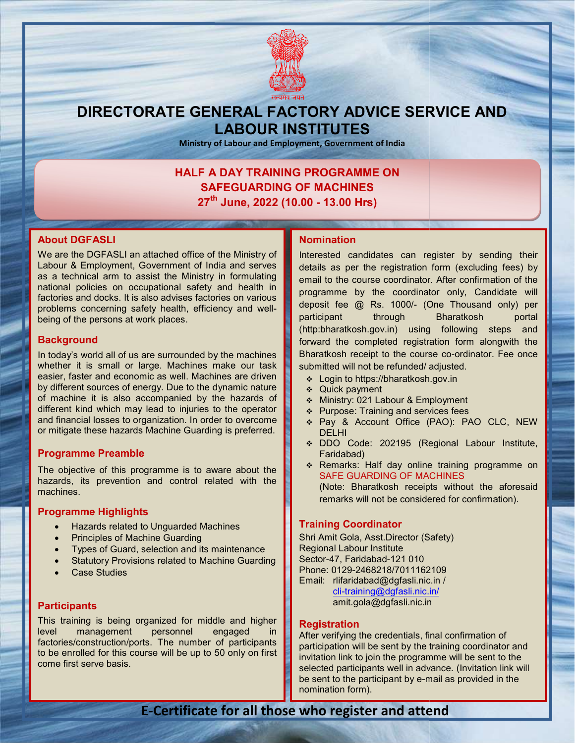

## DIRECTORATE GENERAL FACTORY ADVICE SERVICE AND LABOUR INSTITUTES

Ministry of Labour and Employment, Government of India

## HALF A DAY TRAINING PROGRAMME ON SAFEGUARDING OF MACHINES F A DAY TRAINING PROGRAMME ON<br>SAFEGUARDING OF MACHINES<br>27<sup>th</sup> June, 2022 (10.00 - 13.00 Hrs)

## About DGFASLI

We are the DGFASLI an attached office of the Ministry of Labour & Employment, Government of India and serves as a technical arm to assist the Ministry in formulating national policies on occupational safety and health in factories and docks. It is also advises factories on various problems concerning safety health, efficiency and wellbeing of the persons at work places. are the DGFASLI an attached office of the Ministry of<br>our & Employment, Government of India and serves<br>a technical arm to assist the Ministry in formulating<br>onal policies on occupational safety and health in<br>ories and dock

## **Background**

In today's world all of us are surrounded by the machines whether it is small or large. Machines make our task easier, faster and economic as well. Machines are driven easier, faster and economic as well. Machines are driven<br>by different sources of energy. Due to the dynamic nature of machine it is also accompanied by the hazards of different kind which may lead to injuries to the operator different kind which may lead to injuries to the operator<br>and financial losses to organization. In order to overcome or mitigate these hazards Machine Guarding is preferred. **DOUT ANCHE INTERNET ANTIFIC ANTIFIC SUPPRESENT ANTIFIC SUPPRESENT ANTIFIC SUPPRESENT AND INTERNET AND INTERNET AND A CONSIDER A CHE IS A SUPPRESENT AND INTERNET AND INTERNET AND INTERNET AND INTERNET AND INTERNET AND INT** 

## Programme Preamble

The objective of this programme is to aware about the hazards, its prevention and control related with the machines. this programme is to aware about the<br>vention and control related with the<br>**ghlights**<br>related to Unguarded Machines<br>is of Machine Guarding<br>Guard, selection and its maintenance<br>Provisions related to Machine Guarding

## Programme Highlights

- Hazards related to Unguarded Machines
- Principles of Machine Guarding
- Types of Guard, selection and its maintenance
- Statutory Provisions related to Machine Guarding
- Case Studies

## **Participants**

This training is being organized for middle and higher level management personnel engaged in factories/construction/ports. The number of participants to be enrolled for this course will be up to 50 only on first come first serve basis.

Interested candidates can register by sending their details as per the registration form (excluding fees) by email to the course coordinator. After confirmation of the programme by the coordinator only, Candidate will deposit fee @ Rs. 1000/- (One Thousand only) per participant through Bharatkosh portal (http:bharatkosh.gov.in) using following steps and forward the completed registration form alongwith the Bharatkosh receipt to the course co-ordinator. Fee once submitted will not be refunded/ adjusted. ache differe of the Ministry of the Ministry of the Ministry in formulation the particular the Ministry in formulation the theorem and the the Ministry in formulation the confirmation of the confirmation of the confirmati participant through Bharatkosh portal<br>(http:bharatkosh.gov.in) using following steps and<br>forward the completed registration form alongwith the<br>Bharatkosh receipt to the course co-ordinator. Fee once

- Login to https://bharatkosh.gov.in
- Quick payment
- ◆ Ministry: 021 Labour & Employment
- $\div$  Purpose: Training and services fees
- Pay & Account Office (PAO): PAO CLC, NEW DELHI submitted will not be refunded/adjusted.<br>  $\div$  Login to https://bharatkosh.gov.in<br>  $\div$  Quick payment<br>  $\div$  Ministry: 021 Labour & Employment<br>  $\div$  Purpose: Training and services fees<br>  $\div$  Pay & Account Office (PAO): PAO
	- DDO Code: 202195 (Regional Labour Institute, Faridabad)
- \* Remarks: Half day online training programme on SAFE GUARDING OF MACHINES (Note: Bharatkosh receipts without the aforesaid remarks will not be considered for confirmation). GUARDING OF MACHINE<br>Bharatkosh receipts wit<br>ts will not be considered fo<br>**Coordinator**<br>lola, Asst.Director (Safety)

## Training Coordinator

Shri Amit Gola, Asst.Director (Safety) Regional Labour Institute Sector-47, Faridabad-121 010 Phone: 0129-2468218/7011162109 2468218/7011162109 Email: rlifaridabad@dgfasli.nic.in / cli-training@dgfasli.nic.in/ amit.gola@dgfasli.nic.in

### **Registration**

After verifying the credentials, final confirmation of participation will be sent by the training coordinator and invitation link to join the programme will be sent to the selected participants well in advance. (Invitation link will be sent to the participant by e-mail as provided in the nomination form). oli-training@dgfasli.nic.in/<br>amit.gola@dgfasli.nic.in<br>After verifying the credentials, final confirmation of<br>participation will be sent by the training coordinator and<br>invitation link to join the programme will be sent to

## E-Certificate for all those who register and attend